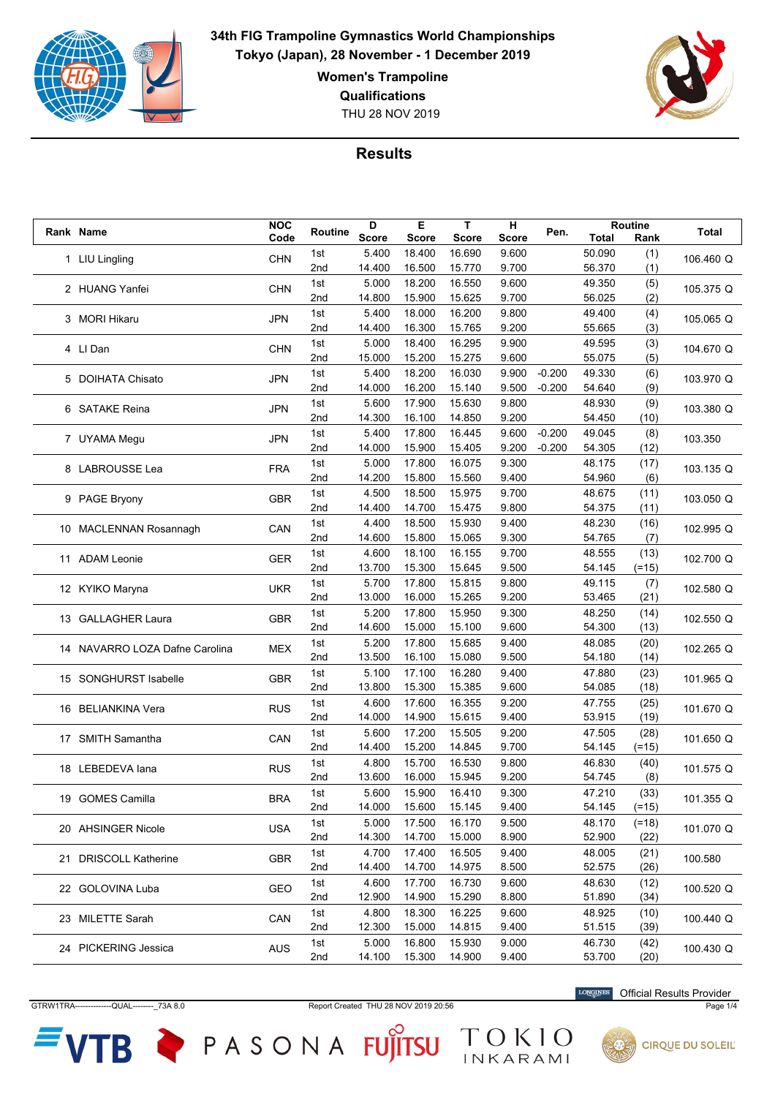

**Women's Trampoline**

**Qualifications**

THU 28 NOV 2019



## **Results**

| Rank Name<br>Code<br><b>Score</b><br><b>Score</b><br><b>Score</b><br>Score<br>Total<br>Rank<br>18.400<br>16.690<br>1st<br>5.400<br>9.600<br>50.090<br>(1)<br>1 LIU Lingling<br><b>CHN</b><br>106.460 Q<br>14.400<br>16.500<br>15.770<br>9.700<br>56.370<br>(1)<br>2nd<br>5.000<br>18.200<br>9.600<br>1st<br>16.550<br>49.350<br>(5)<br>2 HUANG Yanfei<br><b>CHN</b><br>105.375 Q<br>14.800<br>15.900<br>15.625<br>9.700<br>56.025<br>(2)<br>2nd<br>5.400<br>18.000<br>16.200<br>9.800<br>49.400<br>(4)<br>1st<br><b>JPN</b><br>3 MORI Hikaru<br>105.065 Q<br>(3)<br>2nd<br>14.400<br>16.300<br>15.765<br>9.200<br>55.665<br>49.595<br>1st<br>5.000<br>18.400<br>16.295<br>9.900<br>(3)<br>4 LI Dan<br><b>CHN</b><br>104.670 Q<br>15.200<br>15.275<br>55.075<br>2nd<br>15.000<br>9.600<br>(5)<br>5.400<br>18.200<br>16.030<br>9.900<br>$-0.200$<br>49.330<br>(6)<br>1st<br>5 DOIHATA Chisato<br><b>JPN</b><br>103.970 Q<br>14.000<br>16.200<br>15.140<br>54.640<br>2nd<br>9.500<br>$-0.200$<br>(9)<br>5.600<br>17.900<br>15.630<br>9.800<br>48.930<br>(9)<br>1st<br><b>JPN</b><br>6 SATAKE Reina<br>103.380 Q |                                | <b>NOC</b> |         | D | E | T. | н |      | Routine |       |
|--------------------------------------------------------------------------------------------------------------------------------------------------------------------------------------------------------------------------------------------------------------------------------------------------------------------------------------------------------------------------------------------------------------------------------------------------------------------------------------------------------------------------------------------------------------------------------------------------------------------------------------------------------------------------------------------------------------------------------------------------------------------------------------------------------------------------------------------------------------------------------------------------------------------------------------------------------------------------------------------------------------------------------------------------------------------------------------------------------------|--------------------------------|------------|---------|---|---|----|---|------|---------|-------|
|                                                                                                                                                                                                                                                                                                                                                                                                                                                                                                                                                                                                                                                                                                                                                                                                                                                                                                                                                                                                                                                                                                              |                                |            | Routine |   |   |    |   | Pen. |         | Total |
|                                                                                                                                                                                                                                                                                                                                                                                                                                                                                                                                                                                                                                                                                                                                                                                                                                                                                                                                                                                                                                                                                                              |                                |            |         |   |   |    |   |      |         |       |
|                                                                                                                                                                                                                                                                                                                                                                                                                                                                                                                                                                                                                                                                                                                                                                                                                                                                                                                                                                                                                                                                                                              |                                |            |         |   |   |    |   |      |         |       |
|                                                                                                                                                                                                                                                                                                                                                                                                                                                                                                                                                                                                                                                                                                                                                                                                                                                                                                                                                                                                                                                                                                              |                                |            |         |   |   |    |   |      |         |       |
|                                                                                                                                                                                                                                                                                                                                                                                                                                                                                                                                                                                                                                                                                                                                                                                                                                                                                                                                                                                                                                                                                                              |                                |            |         |   |   |    |   |      |         |       |
|                                                                                                                                                                                                                                                                                                                                                                                                                                                                                                                                                                                                                                                                                                                                                                                                                                                                                                                                                                                                                                                                                                              |                                |            |         |   |   |    |   |      |         |       |
|                                                                                                                                                                                                                                                                                                                                                                                                                                                                                                                                                                                                                                                                                                                                                                                                                                                                                                                                                                                                                                                                                                              |                                |            |         |   |   |    |   |      |         |       |
|                                                                                                                                                                                                                                                                                                                                                                                                                                                                                                                                                                                                                                                                                                                                                                                                                                                                                                                                                                                                                                                                                                              |                                |            |         |   |   |    |   |      |         |       |
|                                                                                                                                                                                                                                                                                                                                                                                                                                                                                                                                                                                                                                                                                                                                                                                                                                                                                                                                                                                                                                                                                                              |                                |            |         |   |   |    |   |      |         |       |
|                                                                                                                                                                                                                                                                                                                                                                                                                                                                                                                                                                                                                                                                                                                                                                                                                                                                                                                                                                                                                                                                                                              |                                |            |         |   |   |    |   |      |         |       |
|                                                                                                                                                                                                                                                                                                                                                                                                                                                                                                                                                                                                                                                                                                                                                                                                                                                                                                                                                                                                                                                                                                              |                                |            |         |   |   |    |   |      |         |       |
|                                                                                                                                                                                                                                                                                                                                                                                                                                                                                                                                                                                                                                                                                                                                                                                                                                                                                                                                                                                                                                                                                                              |                                |            |         |   |   |    |   |      |         |       |
|                                                                                                                                                                                                                                                                                                                                                                                                                                                                                                                                                                                                                                                                                                                                                                                                                                                                                                                                                                                                                                                                                                              |                                |            |         |   |   |    |   |      |         |       |
| 2nd<br>14.300<br>16.100<br>14.850<br>9.200<br>54.450<br>(10)                                                                                                                                                                                                                                                                                                                                                                                                                                                                                                                                                                                                                                                                                                                                                                                                                                                                                                                                                                                                                                                 |                                |            |         |   |   |    |   |      |         |       |
| 16.445                                                                                                                                                                                                                                                                                                                                                                                                                                                                                                                                                                                                                                                                                                                                                                                                                                                                                                                                                                                                                                                                                                       |                                |            |         |   |   |    |   |      |         |       |
| $-0.200$<br>1st<br>5.400<br>17.800<br>9.600<br>49.045<br>(8)<br><b>JPN</b><br>7 UYAMA Megu<br>103.350                                                                                                                                                                                                                                                                                                                                                                                                                                                                                                                                                                                                                                                                                                                                                                                                                                                                                                                                                                                                        |                                |            |         |   |   |    |   |      |         |       |
| 15.405<br>9.200<br>(12)<br>2nd<br>14.000<br>15.900<br>$-0.200$<br>54.305                                                                                                                                                                                                                                                                                                                                                                                                                                                                                                                                                                                                                                                                                                                                                                                                                                                                                                                                                                                                                                     |                                |            |         |   |   |    |   |      |         |       |
| 5.000<br>17.800<br>16.075<br>9.300<br>48.175<br>(17)<br>1st<br><b>FRA</b><br>103.135 Q<br>8 LABROUSSE Lea                                                                                                                                                                                                                                                                                                                                                                                                                                                                                                                                                                                                                                                                                                                                                                                                                                                                                                                                                                                                    |                                |            |         |   |   |    |   |      |         |       |
| 14.200<br>15.800<br>15.560<br>9.400<br>54.960<br>(6)<br>2nd                                                                                                                                                                                                                                                                                                                                                                                                                                                                                                                                                                                                                                                                                                                                                                                                                                                                                                                                                                                                                                                  |                                |            |         |   |   |    |   |      |         |       |
| 4.500<br>9.700<br>18.500<br>15.975<br>48.675<br>(11)<br>1st<br><b>GBR</b><br>103.050 Q<br>9 PAGE Bryony                                                                                                                                                                                                                                                                                                                                                                                                                                                                                                                                                                                                                                                                                                                                                                                                                                                                                                                                                                                                      |                                |            |         |   |   |    |   |      |         |       |
| 2nd<br>14.400<br>14.700<br>15.475<br>9.800<br>54.375<br>(11)                                                                                                                                                                                                                                                                                                                                                                                                                                                                                                                                                                                                                                                                                                                                                                                                                                                                                                                                                                                                                                                 |                                |            |         |   |   |    |   |      |         |       |
| 15.930<br>9.400<br>1st<br>4.400<br>18.500<br>48.230<br>(16)                                                                                                                                                                                                                                                                                                                                                                                                                                                                                                                                                                                                                                                                                                                                                                                                                                                                                                                                                                                                                                                  |                                |            |         |   |   |    |   |      |         |       |
| CAN<br>102.995 Q<br>10 MACLENNAN Rosannagh<br>15.800<br>9.300<br>2nd<br>14.600<br>15.065<br>54.765<br>(7)                                                                                                                                                                                                                                                                                                                                                                                                                                                                                                                                                                                                                                                                                                                                                                                                                                                                                                                                                                                                    |                                |            |         |   |   |    |   |      |         |       |
| 9.700<br>4.600<br>18.100<br>16.155<br>48.555<br>(13)<br>1st                                                                                                                                                                                                                                                                                                                                                                                                                                                                                                                                                                                                                                                                                                                                                                                                                                                                                                                                                                                                                                                  |                                |            |         |   |   |    |   |      |         |       |
| <b>GER</b><br>102.700 Q<br>11 ADAM Leonie<br>13.700<br>15.300<br>15.645<br>9.500<br>2nd<br>54.145<br>$(=15)$                                                                                                                                                                                                                                                                                                                                                                                                                                                                                                                                                                                                                                                                                                                                                                                                                                                                                                                                                                                                 |                                |            |         |   |   |    |   |      |         |       |
|                                                                                                                                                                                                                                                                                                                                                                                                                                                                                                                                                                                                                                                                                                                                                                                                                                                                                                                                                                                                                                                                                                              |                                |            |         |   |   |    |   |      |         |       |
| 5.700<br>17.800<br>15.815<br>9.800<br>49.115<br>1st<br>(7)<br><b>UKR</b><br>102.580 Q<br>12 KYIKO Maryna                                                                                                                                                                                                                                                                                                                                                                                                                                                                                                                                                                                                                                                                                                                                                                                                                                                                                                                                                                                                     |                                |            |         |   |   |    |   |      |         |       |
| 15.265<br>2nd<br>13.000<br>16.000<br>9.200<br>53.465<br>(21)                                                                                                                                                                                                                                                                                                                                                                                                                                                                                                                                                                                                                                                                                                                                                                                                                                                                                                                                                                                                                                                 |                                |            |         |   |   |    |   |      |         |       |
| 5.200<br>1st<br>17.800<br>15.950<br>9.300<br>48.250<br>(14)<br><b>GBR</b><br>13 GALLAGHER Laura<br>102.550 Q                                                                                                                                                                                                                                                                                                                                                                                                                                                                                                                                                                                                                                                                                                                                                                                                                                                                                                                                                                                                 |                                |            |         |   |   |    |   |      |         |       |
| 14.600<br>15.000<br>15.100<br>9.600<br>(13)<br>2nd<br>54.300                                                                                                                                                                                                                                                                                                                                                                                                                                                                                                                                                                                                                                                                                                                                                                                                                                                                                                                                                                                                                                                 |                                |            |         |   |   |    |   |      |         |       |
| 5.200<br>17.800<br>15.685<br>9.400<br>(20)<br>1st<br>48.085                                                                                                                                                                                                                                                                                                                                                                                                                                                                                                                                                                                                                                                                                                                                                                                                                                                                                                                                                                                                                                                  |                                |            |         |   |   |    |   |      |         |       |
| 102.265 Q<br>MEX<br>13.500<br>15.080<br>9.500<br>(14)<br>2nd<br>16.100<br>54.180                                                                                                                                                                                                                                                                                                                                                                                                                                                                                                                                                                                                                                                                                                                                                                                                                                                                                                                                                                                                                             | 14 NAVARRO LOZA Dafne Carolina |            |         |   |   |    |   |      |         |       |
| 5.100<br>17.100<br>16.280<br>9.400<br>47.880<br>(23)<br>1st                                                                                                                                                                                                                                                                                                                                                                                                                                                                                                                                                                                                                                                                                                                                                                                                                                                                                                                                                                                                                                                  |                                |            |         |   |   |    |   |      |         |       |
| 15 SONGHURST Isabelle<br><b>GBR</b><br>101.965 Q<br>15.385<br>(18)<br>2nd<br>13.800<br>15.300<br>9.600<br>54.085                                                                                                                                                                                                                                                                                                                                                                                                                                                                                                                                                                                                                                                                                                                                                                                                                                                                                                                                                                                             |                                |            |         |   |   |    |   |      |         |       |
| 4.600                                                                                                                                                                                                                                                                                                                                                                                                                                                                                                                                                                                                                                                                                                                                                                                                                                                                                                                                                                                                                                                                                                        |                                |            |         |   |   |    |   |      |         |       |
| 1st<br>17.600<br>16.355<br>9.200<br>47.755<br>(25)<br><b>RUS</b><br>101.670 Q<br>16 BELIANKINA Vera                                                                                                                                                                                                                                                                                                                                                                                                                                                                                                                                                                                                                                                                                                                                                                                                                                                                                                                                                                                                          |                                |            |         |   |   |    |   |      |         |       |
| 15.615<br>9.400<br>53.915<br>(19)<br>2nd<br>14.000<br>14.900                                                                                                                                                                                                                                                                                                                                                                                                                                                                                                                                                                                                                                                                                                                                                                                                                                                                                                                                                                                                                                                 |                                |            |         |   |   |    |   |      |         |       |
| 5.600<br>17.200<br>15.505<br>9.200<br>47.505<br>(28)<br>1st<br>17 SMITH Samantha<br>CAN<br>101.650 Q                                                                                                                                                                                                                                                                                                                                                                                                                                                                                                                                                                                                                                                                                                                                                                                                                                                                                                                                                                                                         |                                |            |         |   |   |    |   |      |         |       |
| 15.200<br>9.700<br>2nd<br>14.400<br>14.845<br>54.145<br>(=15)                                                                                                                                                                                                                                                                                                                                                                                                                                                                                                                                                                                                                                                                                                                                                                                                                                                                                                                                                                                                                                                |                                |            |         |   |   |    |   |      |         |       |
| 4.800<br>15.700<br>16.530<br>9.800<br>46.830<br>1st<br>(40)<br>18 LEBEDEVA lana<br><b>RUS</b><br>101.575 Q                                                                                                                                                                                                                                                                                                                                                                                                                                                                                                                                                                                                                                                                                                                                                                                                                                                                                                                                                                                                   |                                |            |         |   |   |    |   |      |         |       |
| 2nd<br>13.600<br>16.000<br>15.945<br>9.200<br>54.745<br>(8)                                                                                                                                                                                                                                                                                                                                                                                                                                                                                                                                                                                                                                                                                                                                                                                                                                                                                                                                                                                                                                                  |                                |            |         |   |   |    |   |      |         |       |
| 5.600<br>15.900<br>16.410<br>9.300<br>47.210<br>(33)<br>1st                                                                                                                                                                                                                                                                                                                                                                                                                                                                                                                                                                                                                                                                                                                                                                                                                                                                                                                                                                                                                                                  |                                |            |         |   |   |    |   |      |         |       |
| <b>BRA</b><br>101.355 Q<br>14.000<br>15.600<br>15.145<br>2nd<br>9.400<br>54.145<br>(=15)                                                                                                                                                                                                                                                                                                                                                                                                                                                                                                                                                                                                                                                                                                                                                                                                                                                                                                                                                                                                                     | 19 GOMES Camilla               |            |         |   |   |    |   |      |         |       |
| 1st<br>5.000<br>17.500<br>16.170<br>9.500<br>48.170<br>$(=18)$                                                                                                                                                                                                                                                                                                                                                                                                                                                                                                                                                                                                                                                                                                                                                                                                                                                                                                                                                                                                                                               |                                |            |         |   |   |    |   |      |         |       |
| 20 AHSINGER Nicole<br><b>USA</b><br>101.070 Q<br>14.300<br>15.000<br>52.900<br>2nd<br>14.700<br>8.900<br>(22)                                                                                                                                                                                                                                                                                                                                                                                                                                                                                                                                                                                                                                                                                                                                                                                                                                                                                                                                                                                                |                                |            |         |   |   |    |   |      |         |       |
|                                                                                                                                                                                                                                                                                                                                                                                                                                                                                                                                                                                                                                                                                                                                                                                                                                                                                                                                                                                                                                                                                                              |                                |            |         |   |   |    |   |      |         |       |
| 4.700<br>16.505<br>1st<br>17.400<br>9.400<br>48.005<br>(21)<br>21 DRISCOLL Katherine<br>GBR<br>100.580                                                                                                                                                                                                                                                                                                                                                                                                                                                                                                                                                                                                                                                                                                                                                                                                                                                                                                                                                                                                       |                                |            |         |   |   |    |   |      |         |       |
| 14.975<br>52.575<br>2nd<br>14.400<br>14.700<br>8.500<br>(26)                                                                                                                                                                                                                                                                                                                                                                                                                                                                                                                                                                                                                                                                                                                                                                                                                                                                                                                                                                                                                                                 |                                |            |         |   |   |    |   |      |         |       |
| 4.600<br>16.730<br>1st<br>17.700<br>9.600<br>48.630<br>(12)<br>22 GOLOVINA Luba<br>GEO<br>100.520 Q                                                                                                                                                                                                                                                                                                                                                                                                                                                                                                                                                                                                                                                                                                                                                                                                                                                                                                                                                                                                          |                                |            |         |   |   |    |   |      |         |       |
| 12.900<br>15.290<br>2nd<br>14.900<br>8.800<br>51.890<br>(34)                                                                                                                                                                                                                                                                                                                                                                                                                                                                                                                                                                                                                                                                                                                                                                                                                                                                                                                                                                                                                                                 |                                |            |         |   |   |    |   |      |         |       |
| 4.800<br>18.300<br>16.225<br>48.925<br>1st<br>9.600<br>(10)<br>CAN<br>100.440 Q<br>23 MILETTE Sarah                                                                                                                                                                                                                                                                                                                                                                                                                                                                                                                                                                                                                                                                                                                                                                                                                                                                                                                                                                                                          |                                |            |         |   |   |    |   |      |         |       |
| 12.300<br>2nd<br>15.000<br>14.815<br>9.400<br>51.515<br>(39)                                                                                                                                                                                                                                                                                                                                                                                                                                                                                                                                                                                                                                                                                                                                                                                                                                                                                                                                                                                                                                                 |                                |            |         |   |   |    |   |      |         |       |
| 5.000<br>16.800<br>15.930<br>46.730<br>1st<br>9.000<br>(42)                                                                                                                                                                                                                                                                                                                                                                                                                                                                                                                                                                                                                                                                                                                                                                                                                                                                                                                                                                                                                                                  |                                |            |         |   |   |    |   |      |         |       |
| 24 PICKERING Jessica<br>AUS<br>100.430 Q<br>14.100<br>14.900<br>53.700<br>2nd<br>15.300<br>9.400<br>(20)                                                                                                                                                                                                                                                                                                                                                                                                                                                                                                                                                                                                                                                                                                                                                                                                                                                                                                                                                                                                     |                                |            |         |   |   |    |   |      |         |       |

GTRW1TRA--------------QUAL--------\_73A 8.0 Report Created THU 28 NOV 2019 20:56 Page 1/4

ГB

TOKIO

PASONA FUJITSU

Official Results Provider

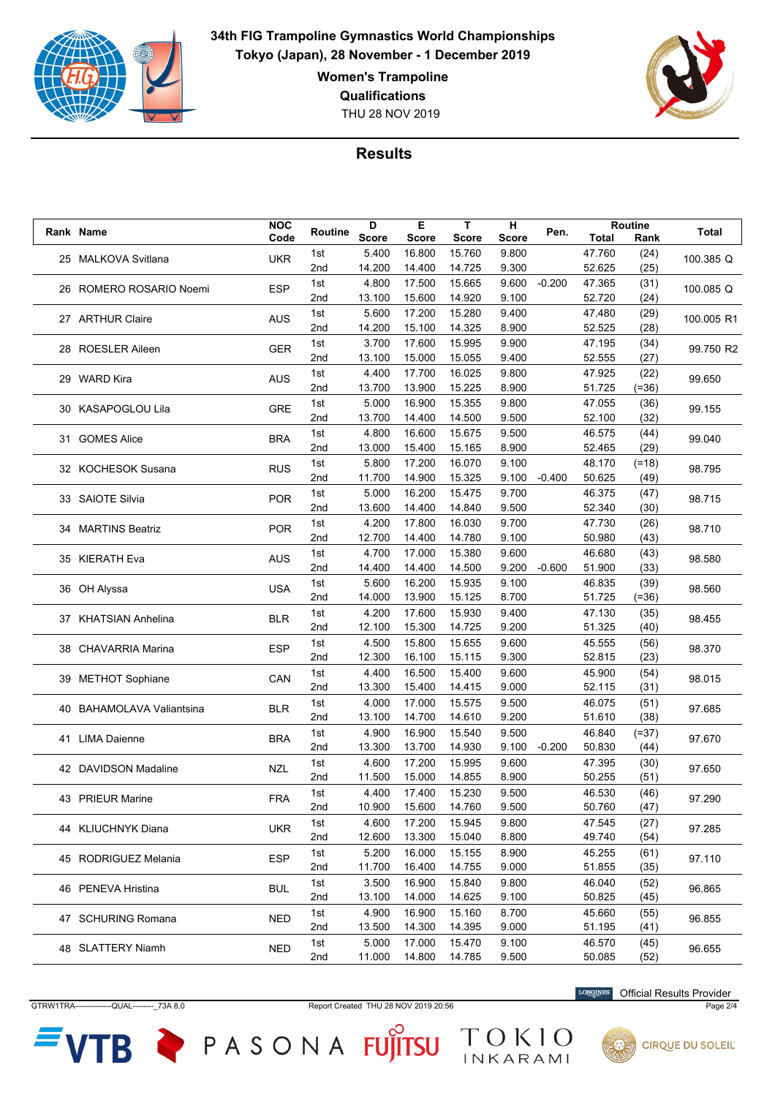

**Women's Trampoline**

**Qualifications**

THU 28 NOV 2019



## **Results**

| Rank Name                 | <b>NOC</b> | Routine    | D            | Е            | T            | н              | Pen.     |              | Routine   | Total      |
|---------------------------|------------|------------|--------------|--------------|--------------|----------------|----------|--------------|-----------|------------|
|                           | Code       |            | <b>Score</b> | <b>Score</b> | <b>Score</b> | <b>Score</b>   |          | <b>Total</b> | Rank      |            |
| 25 MALKOVA Svitlana       | <b>UKR</b> | 1st        | 5.400        | 16.800       | 15.760       | 9.800          |          | 47.760       | (24)      | 100.385 Q  |
|                           |            | 2nd        | 14.200       | 14.400       | 14.725       | 9.300          |          | 52.625       | (25)      |            |
| 26 ROMERO ROSARIO Noemi   | <b>ESP</b> | 1st        | 4.800        | 17.500       | 15.665       | 9.600          | $-0.200$ | 47.365       | (31)      | 100.085 Q  |
|                           |            | 2nd        | 13.100       | 15.600       | 14.920       | 9.100          |          | 52.720       | (24)      |            |
| 27 ARTHUR Claire          | <b>AUS</b> | 1st        | 5.600        | 17.200       | 15.280       | 9.400          |          | 47.480       | (29)      | 100.005 R1 |
|                           |            | 2nd        | 14.200       | 15.100       | 14.325       | 8.900          |          | 52.525       | (28)      |            |
| 28 ROESLER Aileen         | <b>GER</b> | 1st        | 3.700        | 17.600       | 15.995       | 9.900          |          | 47.195       | (34)      | 99.750 R2  |
|                           |            | 2nd        | 13.100       | 15.000       | 15.055       | 9.400          |          | 52.555       | (27)      |            |
| 29 WARD Kira              | <b>AUS</b> | 1st        | 4.400        | 17.700       | 16.025       | 9.800          |          | 47.925       | (22)      | 99.650     |
|                           |            | 2nd        | 13.700       | 13.900       | 15.225       | 8.900          |          | 51.725       | $( = 36)$ |            |
| 30 KASAPOGLOU Lila        | <b>GRE</b> | 1st        | 5.000        | 16.900       | 15.355       | 9.800          |          | 47.055       | (36)      | 99.155     |
|                           |            | 2nd        | 13.700       | 14.400       | 14.500       | 9.500          |          | 52.100       | (32)      |            |
|                           |            | 1st        | 4.800        | 16.600       | 15.675       | 9.500          |          | 46.575       | (44)      |            |
| 31 GOMES Alice            | <b>BRA</b> | 2nd        | 13.000       | 15.400       | 15.165       | 8.900          |          | 52.465       | (29)      | 99.040     |
|                           |            | 1st        | 5.800        | 17.200       | 16.070       | 9.100          |          | 48.170       | $(=18)$   |            |
| 32 KOCHESOK Susana        | <b>RUS</b> | 2nd        | 11.700       | 14.900       | 15.325       | 9.100          | $-0.400$ | 50.625       | (49)      | 98.795     |
|                           |            | 1st        | 5.000        | 16.200       | 15.475       | 9.700          |          | 46.375       | (47)      |            |
| 33 SAIOTE Silvia          | <b>POR</b> | 2nd        | 13.600       | 14.400       | 14.840       | 9.500          |          | 52.340       | (30)      | 98.715     |
|                           |            | 1st        | 4.200        | 17.800       | 16.030       | 9.700          |          | 47.730       | (26)      |            |
| 34 MARTINS Beatriz        | <b>POR</b> | 2nd        | 12.700       | 14.400       | 14.780       | 9.100          |          | 50.980       | (43)      | 98.710     |
|                           |            | 1st        | 4.700        | 17.000       | 15.380       | 9.600          |          | 46.680       | (43)      |            |
| 35 KIERATH Eva            | <b>AUS</b> | 2nd        | 14.400       | 14.400       | 14.500       | 9.200          | $-0.600$ | 51.900       | (33)      | 98.580     |
|                           |            | 1st        | 5.600        | 16.200       | 15.935       | 9.100          |          | 46.835       | (39)      |            |
| 36 OH Alyssa              | <b>USA</b> | 2nd        | 14.000       | 13.900       | 15.125       | 8.700          |          | 51.725       | $(=36)$   | 98.560     |
|                           |            |            | 4.200        | 17.600       | 15.930       |                |          | 47.130       |           |            |
| 37 KHATSIAN Anhelina      | <b>BLR</b> | 1st<br>2nd | 12.100       | 15.300       | 14.725       | 9.400<br>9.200 |          | 51.325       | (35)      | 98.455     |
|                           |            |            |              |              |              |                |          |              | (40)      |            |
| 38 CHAVARRIA Marina       | <b>ESP</b> | 1st        | 4.500        | 15.800       | 15.655       | 9.600          |          | 45.555       | (56)      | 98.370     |
|                           |            | 2nd        | 12.300       | 16.100       | 15.115       | 9.300          |          | 52.815       | (23)      |            |
| 39 METHOT Sophiane        | CAN        | 1st        | 4.400        | 16.500       | 15.400       | 9.600          |          | 45.900       | (54)      | 98.015     |
|                           |            | 2nd        | 13.300       | 15.400       | 14.415       | 9.000          |          | 52.115       | (31)      |            |
| 40 BAHAMOLAVA Valiantsina | <b>BLR</b> | 1st        | 4.000        | 17.000       | 15.575       | 9.500          |          | 46.075       | (51)      | 97.685     |
|                           |            | 2nd        | 13.100       | 14.700       | 14.610       | 9.200          |          | 51.610       | (38)      |            |
| 41 LIMA Daienne           | <b>BRA</b> | 1st        | 4.900        | 16.900       | 15.540       | 9.500          |          | 46.840       | $(=37)$   | 97.670     |
|                           |            | 2nd        | 13.300       | 13.700       | 14.930       | 9.100          | $-0.200$ | 50.830       | (44)      |            |
| 42 DAVIDSON Madaline      | <b>NZL</b> | 1st        | 4.600        | 17.200       | 15.995       | 9.600          |          | 47.395       | (30)      | 97.650     |
|                           |            | 2nd        | 11.500       | 15.000       | 14.855       | 8.900          |          | 50.255       | (51)      |            |
| 43 PRIEUR Marine          | <b>FRA</b> | 1st        | 4.400        | 17.400       | 15.230       | 9.500          |          | 46.530       | (46)      | 97.290     |
|                           |            | 2nd        | 10.900       | 15.600       | 14.760       | 9.500          |          | 50.760       | (47)      |            |
| 44 KLIUCHNYK Diana        | <b>UKR</b> | 1st        | 4.600        | 17.200       | 15.945       | 9.800          |          | 47.545       | (27)      | 97.285     |
|                           |            | 2nd        | 12.600       | 13.300       | 15.040       | 8.800          |          | 49.740       | (54)      |            |
| 45 RODRIGUEZ Melania      | <b>ESP</b> | 1st        | 5.200        | 16.000       | 15.155       | 8.900          |          | 45.255       | (61)      | 97.110     |
|                           |            | 2nd        | 11.700       | 16.400       | 14.755       | 9.000          |          | 51.855       | (35)      |            |
|                           |            | 1st        | 3.500        | 16.900       | 15.840       | 9.800          |          | 46.040       | (52)      | 96.865     |
| 46 PENEVA Hristina        | BUL        | 2nd        | 13.100       | 14.000       | 14.625       | 9.100          |          | 50.825       | (45)      |            |
|                           |            | 1st        | 4.900        | 16.900       | 15.160       | 8.700          |          | 45.660       | (55)      |            |
| 47 SCHURING Romana        | NED        | 2nd        | 13.500       | 14.300       | 14.395       | 9.000          |          | 51.195       | (41)      | 96.855     |
|                           |            | 1st        | 5.000        | 17.000       | 15.470       | 9.100          |          | 46.570       | (45)      |            |
| 48 SLATTERY Niamh         | NED        | 2nd        | 11.000       | 14.800       | 14.785       | 9.500          |          | 50.085       | (52)      | 96.655     |

GTRW1TRA--------------QUAL--------\_73A 8.0 Report Created THU 28 NOV 2019 20:56 Page 2/4

**VTB** 

TOKIO

PASONA FUJITSU

Official Results Provider

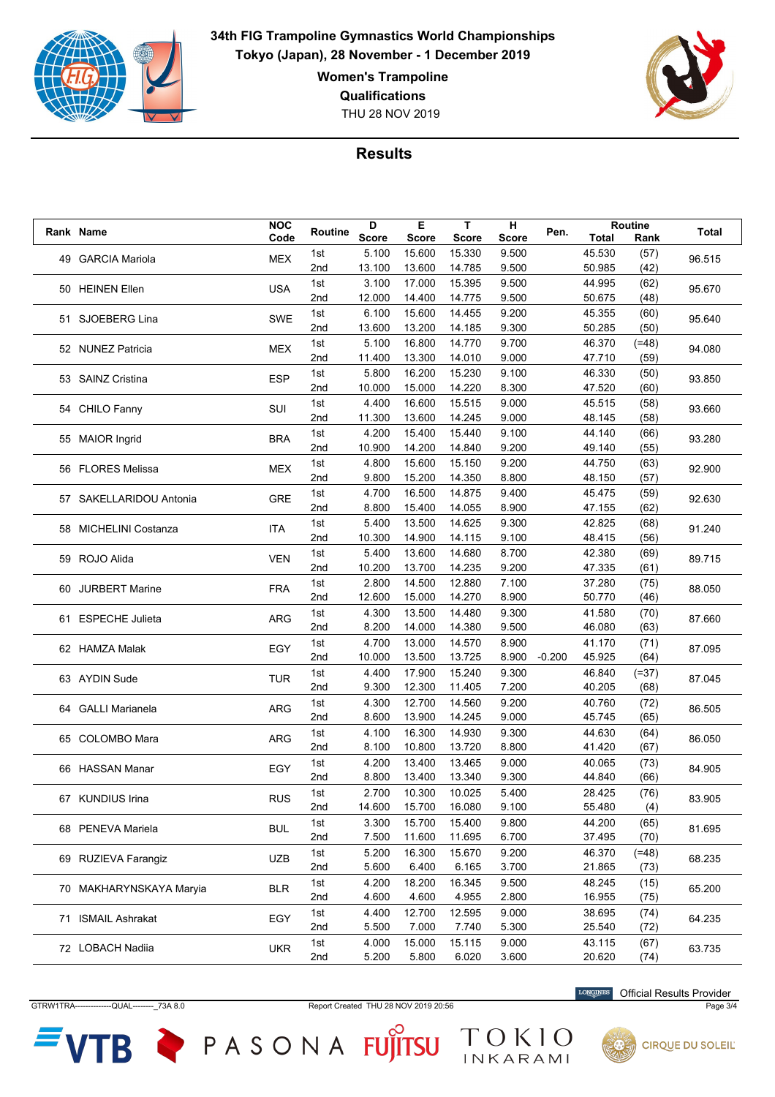

**Women's Trampoline**

**Qualifications**

THU 28 NOV 2019



## **Results**

|  | Rank Name               | <b>NOC</b> | Routine         | D            | Е            | T            | н            | Pen.     |        | <b>Routine</b> | Total  |
|--|-------------------------|------------|-----------------|--------------|--------------|--------------|--------------|----------|--------|----------------|--------|
|  |                         | Code       |                 | <b>Score</b> | <b>Score</b> | <b>Score</b> | <b>Score</b> |          | Total  | Rank           |        |
|  | 49 GARCIA Mariola       | <b>MEX</b> | 1st             | 5.100        | 15.600       | 15.330       | 9.500        |          | 45.530 | (57)           | 96.515 |
|  |                         |            | 2 <sub>nd</sub> | 13.100       | 13.600       | 14.785       | 9.500        |          | 50.985 | (42)           |        |
|  | 50 HEINEN Ellen         | <b>USA</b> | 1st             | 3.100        | 17.000       | 15.395       | 9.500        |          | 44.995 | (62)           | 95.670 |
|  |                         |            | 2nd             | 12.000       | 14.400       | 14.775       | 9.500        |          | 50.675 | (48)           |        |
|  | 51 SJOEBERG Lina        | <b>SWE</b> | 1st             | 6.100        | 15.600       | 14.455       | 9.200        |          | 45.355 | (60)           | 95.640 |
|  |                         |            | 2nd             | 13.600       | 13.200       | 14.185       | 9.300        |          | 50.285 | (50)           |        |
|  |                         |            | 1st             | 5.100        | 16.800       | 14.770       | 9.700        |          | 46.370 | $(=48)$        |        |
|  | 52 NUNEZ Patricia       | <b>MEX</b> | 2 <sub>nd</sub> | 11.400       | 13.300       | 14.010       | 9.000        |          | 47.710 | (59)           | 94.080 |
|  | 53 SAINZ Cristina       |            | 1st             | 5.800        | 16.200       | 15.230       | 9.100        |          | 46.330 | (50)           |        |
|  |                         | <b>ESP</b> | 2 <sub>nd</sub> | 10.000       | 15.000       | 14.220       | 8.300        |          | 47.520 | (60)           | 93.850 |
|  |                         |            | 1st             | 4.400        | 16.600       | 15.515       | 9.000        |          | 45.515 | (58)           |        |
|  | 54 CHILO Fanny          | SUI        | 2nd             | 11.300       | 13.600       | 14.245       | 9.000        |          | 48.145 | (58)           | 93.660 |
|  |                         |            | 1st             | 4.200        | 15.400       | 15.440       | 9.100        |          | 44.140 | (66)           |        |
|  | 55 MAIOR Ingrid         | <b>BRA</b> | 2nd             | 10.900       | 14.200       | 14.840       | 9.200        |          | 49.140 | (55)           | 93.280 |
|  |                         |            |                 |              |              | 15.150       |              |          |        |                |        |
|  | 56 FLORES Melissa       | <b>MEX</b> | 1st             | 4.800        | 15.600       |              | 9.200        |          | 44.750 | (63)           | 92.900 |
|  |                         |            | 2nd             | 9.800        | 15.200       | 14.350       | 8.800        |          | 48.150 | (57)           |        |
|  | 57 SAKELLARIDOU Antonia | <b>GRE</b> | 1st             | 4.700        | 16.500       | 14.875       | 9.400        |          | 45.475 | (59)           | 92.630 |
|  |                         |            | 2nd             | 8.800        | 15.400       | 14.055       | 8.900        |          | 47.155 | (62)           |        |
|  | 58 MICHELINI Costanza   | <b>ITA</b> | 1st             | 5.400        | 13.500       | 14.625       | 9.300        |          | 42.825 | (68)           | 91.240 |
|  |                         |            | 2 <sub>nd</sub> | 10.300       | 14.900       | 14.115       | 9.100        |          | 48.415 | (56)           |        |
|  | 59 ROJO Alida           | <b>VEN</b> | 1st             | 5.400        | 13.600       | 14.680       | 8.700        |          | 42.380 | (69)           | 89.715 |
|  |                         |            | 2 <sub>nd</sub> | 10.200       | 13.700       | 14.235       | 9.200        |          | 47.335 | (61)           |        |
|  | 60 JURBERT Marine       | <b>FRA</b> | 1st             | 2.800        | 14.500       | 12.880       | 7.100        |          | 37.280 | (75)           | 88.050 |
|  |                         |            | 2nd             | 12.600       | 15.000       | 14.270       | 8.900        |          | 50.770 | (46)           |        |
|  | 61 ESPECHE Julieta      | <b>ARG</b> | 1st             | 4.300        | 13.500       | 14.480       | 9.300        |          | 41.580 | (70)           | 87.660 |
|  |                         |            | 2nd             | 8.200        | 14.000       | 14.380       | 9.500        |          | 46.080 | (63)           |        |
|  | 62 HAMZA Malak          | EGY        | 1st             | 4.700        | 13.000       | 14.570       | 8.900        |          | 41.170 | (71)           |        |
|  |                         |            | 2nd             | 10.000       | 13.500       | 13.725       | 8.900        | $-0.200$ | 45.925 | (64)           | 87.095 |
|  | 63 AYDIN Sude           | <b>TUR</b> | 1st             | 4.400        | 17.900       | 15.240       | 9.300        |          | 46.840 | $(=37)$        | 87.045 |
|  |                         |            | 2nd             | 9.300        | 12.300       | 11.405       | 7.200        |          | 40.205 | (68)           |        |
|  |                         |            | 1st             | 4.300        | 12.700       | 14.560       | 9.200        |          | 40.760 | (72)           |        |
|  | 64 GALLI Marianela      | <b>ARG</b> | 2 <sub>nd</sub> | 8.600        | 13.900       | 14.245       | 9.000        |          | 45.745 | (65)           | 86.505 |
|  |                         |            | 1st             | 4.100        | 16.300       | 14.930       | 9.300        |          | 44.630 | (64)           |        |
|  | 65 COLOMBO Mara         | ARG        | 2nd             | 8.100        | 10.800       | 13.720       | 8.800        |          | 41.420 | (67)           | 86.050 |
|  |                         |            |                 |              |              |              |              |          |        |                |        |
|  | 66 HASSAN Manar         | EGY        | 1st             | 4.200        | 13.400       | 13.465       | 9.000        |          | 40.065 | (73)           | 84.905 |
|  |                         |            | 2nd             | 8.800        | 13.400       | 13.340       | 9.300        |          | 44.840 | (66)           |        |
|  | 67 KUNDIUS Irina        | <b>RUS</b> | 1st             | 2.700        | 10.300       | 10.025       | 5.400        |          | 28.425 | (76)           | 83.905 |
|  |                         |            | 2nd             | 14.600       | 15.700       | 16.080       | 9.100        |          | 55.480 | (4)            |        |
|  | 68 PENEVA Mariela       | <b>BUL</b> | 1st             | 3.300        | 15.700       | 15.400       | 9.800        |          | 44.200 | (65)           | 81.695 |
|  |                         |            | 2 <sub>nd</sub> | 7.500        | 11.600       | 11.695       | 6.700        |          | 37.495 | (70)           |        |
|  | 69 RUZIEVA Farangiz     | <b>UZB</b> | 1st             | 5.200        | 16.300       | 15.670       | 9.200        |          | 46.370 | $(=48)$        | 68.235 |
|  |                         |            | 2nd             | 5.600        | 6.400        | 6.165        | 3.700        |          | 21.865 | (73)           |        |
|  | 70 MAKHARYNSKAYA Maryia | <b>BLR</b> | 1st             | 4.200        | 18.200       | 16.345       | 9.500        |          | 48.245 | (15)           | 65.200 |
|  |                         |            | 2nd             | 4.600        | 4.600        | 4.955        | 2.800        |          | 16.955 | (75)           |        |
|  | 71 ISMAIL Ashrakat      | EGY        | 1st             | 4.400        | 12.700       | 12.595       | 9.000        |          | 38.695 | (74)           | 64.235 |
|  |                         |            | 2nd             | 5.500        | 7.000        | 7.740        | 5.300        |          | 25.540 | (72)           |        |
|  |                         |            | 1st             | 4.000        | 15.000       | 15.115       | 9.000        |          | 43.115 | (67)           |        |
|  | 72 LOBACH Nadiia        | <b>UKR</b> | 2nd             | 5.200        | 5.800        | 6.020        | 3.600        |          | 20.620 | (74)           | 63.735 |

GTRW1TRA--------------QUAL--------\_73A 8.0 Report Created THU 28 NOV 2019 20:56 Page 3/4

**VTB** 

PASONA FUJITSU

Official Results Provider



TOKIO